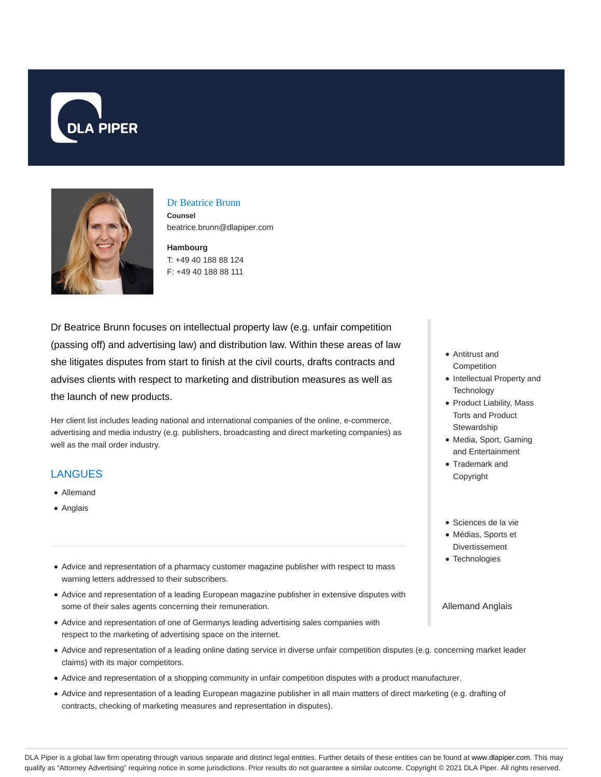



#### Dr Beatrice Brunn

**Counsel** beatrice.brunn@dlapiper.com

**Hambourg** T: +49 40 188 88 124 F: +49 40 188 88 111

Dr Beatrice Brunn focuses on intellectual property law (e.g. unfair competition (passing off) and advertising law) and distribution law. Within these areas of law she litigates disputes from start to finish at the civil courts, drafts contracts and advises clients with respect to marketing and distribution measures as well as the launch of new products.

Her client list includes leading national and international companies of the online, e-commerce, advertising and media industry (e.g. publishers, broadcasting and direct marketing companies) as well as the mail order industry.

## **LANGUES**

- Allemand
- Anglais
- Advice and representation of a pharmacy customer magazine publisher with respect to mass warning letters addressed to their subscribers.
- Advice and representation of a leading European magazine publisher in extensive disputes with some of their sales agents concerning their remuneration.
- Advice and representation of one of Germanys leading advertising sales companies with respect to the marketing of advertising space on the internet.
- Advice and representation of a leading online dating service in diverse unfair competition disputes (e.g. concerning market leader claims) with its major competitors.
- Advice and representation of a shopping community in unfair competition disputes with a product manufacturer.
- Advice and representation of a leading European magazine publisher in all main matters of direct marketing (e.g. drafting of contracts, checking of marketing measures and representation in disputes).
- Antitrust and **Competition**
- Intellectual Property and **Technology**
- Product Liability, Mass Torts and Product **Stewardship**
- Media, Sport, Gaming and Entertainment
- Trademark and Copyright
- Sciences de la vie
- Médias, Sports et Divertissement
- Technologies

Allemand Anglais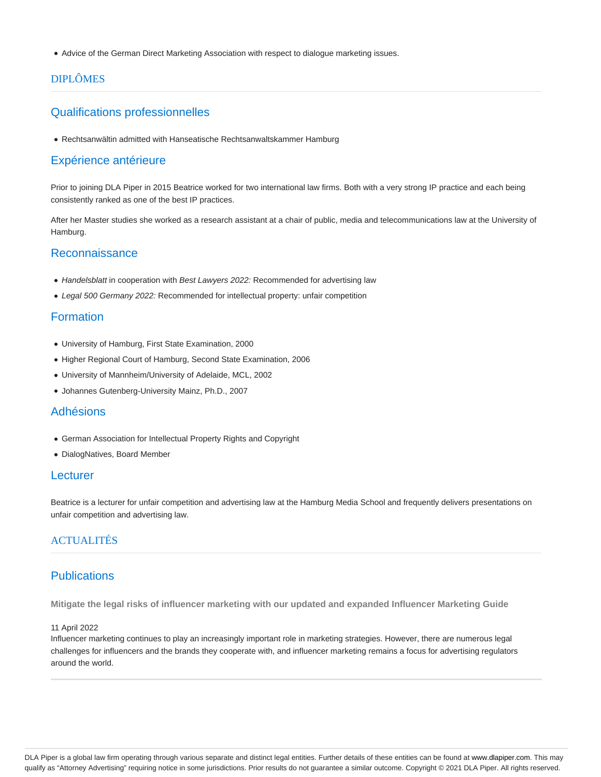Advice of the German Direct Marketing Association with respect to dialogue marketing issues.

# DIPLÔMES

## Qualifications professionnelles

Rechtsanwältin admitted with Hanseatische Rechtsanwaltskammer Hamburg

### Expérience antérieure

Prior to joining DLA Piper in 2015 Beatrice worked for two international law firms. Both with a very strong IP practice and each being consistently ranked as one of the best IP practices.

After her Master studies she worked as a research assistant at a chair of public, media and telecommunications law at the University of Hamburg.

## **Reconnaissance**

- Handelsblatt in cooperation with Best Lawyers 2022: Recommended for advertising law
- Legal 500 Germany 2022: Recommended for intellectual property: unfair competition

### Formation

- University of Hamburg, First State Examination, 2000
- Higher Regional Court of Hamburg, Second State Examination, 2006
- University of Mannheim/University of Adelaide, MCL, 2002
- Johannes Gutenberg-University Mainz, Ph.D., 2007

#### Adhésions

- German Association for Intellectual Property Rights and Copyright
- DialogNatives, Board Member

#### **Lecturer**

Beatrice is a lecturer for unfair competition and advertising law at the Hamburg Media School and frequently delivers presentations on unfair competition and advertising law.

# ACTUALITÉS

### **Publications**

**Mitigate the legal risks of influencer marketing with our updated and expanded Influencer Marketing Guide**

#### 11 April 2022

Influencer marketing continues to play an increasingly important role in marketing strategies. However, there are numerous legal challenges for influencers and the brands they cooperate with, and influencer marketing remains a focus for advertising regulators around the world.